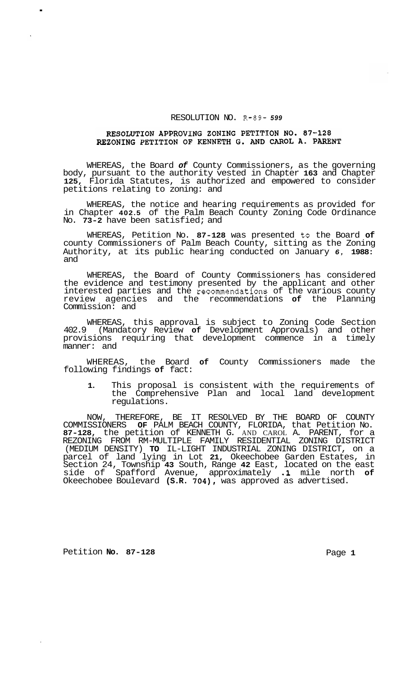## RESOLUTION NO. R-89- *<sup>599</sup>*

## RESOLUTION APPROVING ZONING PETITION NO. 87-128 REZONING PETITION OF KENNETH G. AND CAROL A. PARENT

WHEREAS, the Board *of* County Commissioners, as the governing body, pursuant to the authority vested in Chapter **163** and Chapter **125,** Florida Statutes, is authorized and empowered to consider petitions relating to zoning: and

WHEREAS, the notice and hearing requirements as provided for in Chapter **402.5** of the Palm Beach County Zoning Code Ordinance No. **73-2** have been satisfied; and

WHEREAS, Petition No. **87-128** was presented to the Board **of**  county Commissioners of Palm Beach County, sitting as the Zoning Authority, at its public hearing conducted on January *6,* **1988:**  and

WHEREAS, the Board of County Commissioners has considered the evidence and testimony presented by the applicant and other interested parties and the recommendations of the various county review agencies and the recommendations **of** the Planning Commission: and

WHEREAS, this approval is subject to Zoning Code Section 402.9 (Mandatory Review **of** Development Approvals) and other provisions requiring that development commence in a timely manner: and

WHEREAS, the Board **of** County Commissioners made the following findings **of** fact:

**1.** This proposal is consistent with the requirements of the Comprehensive Plan and local land development regulations.

NOW, THEREFORE, BE IT RESOLVED BY THE BOARD OF COUNTY COMMISSIONERS **OF** PALM BEACH COUNTY, FLORIDA, that Petition No. **87-128,** the petition of KENNETH G. AND CAROL A. PARENT, for a (MEDIUM DENSITY) **TO** IL-LIGHT INDUSTRIAL ZONING DISTRICT, on a parcel of land lying in Lot **21,** Okeechobee Garden Estates, in Section 24, Township **43** South, Range **42** East, located on the east side of Spafford Avenue, approximately **.1** mile north **of**  Okeechobee Boulevard **(S.R. 704),** was approved as advertised. REZONING FROM RM-MULTIPLE FAMILY RESIDENTIAL ZONING DISTRICT

Petition **No.** 87-128 **Page 1 Page 1** 

.